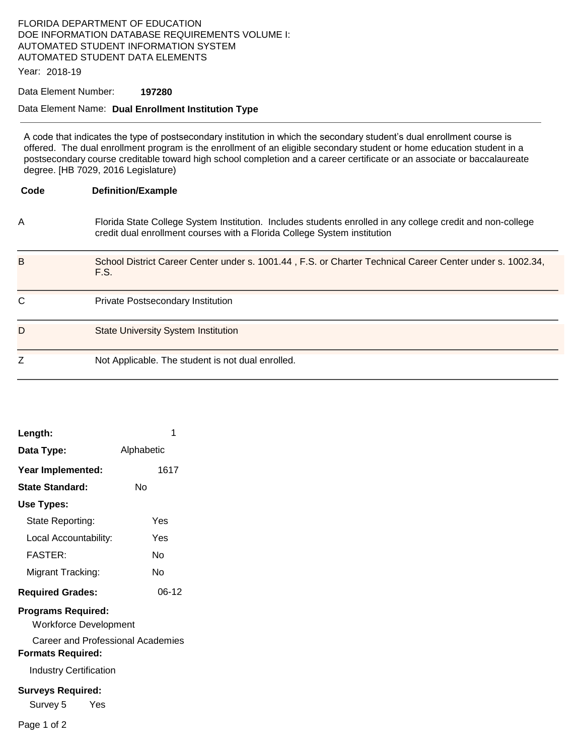## FLORIDA DEPARTMENT OF EDUCATION DOE INFORMATION DATABASE REQUIREMENTS VOLUME I: AUTOMATED STUDENT INFORMATION SYSTEM AUTOMATED STUDENT DATA ELEMENTS

Year: 2018-19

### Data Element Number: **197280**

#### Data Element Name: **Dual Enrollment Institution Type**

A code that indicates the type of postsecondary institution in which the secondary student's dual enrollment course is offered. The dual enrollment program is the enrollment of an eligible secondary student or home education student in a postsecondary course creditable toward high school completion and a career certificate or an associate or baccalaureate degree. [HB 7029, 2016 Legislature)

| Code | <b>Definition/Example</b>                                                                                                                                                              |
|------|----------------------------------------------------------------------------------------------------------------------------------------------------------------------------------------|
| A    | Florida State College System Institution. Includes students enrolled in any college credit and non-college<br>credit dual enrollment courses with a Florida College System institution |
| В    | School District Career Center under s. 1001.44, F.S. or Charter Technical Career Center under s. 1002.34,<br>F.S.                                                                      |
| C    | <b>Private Postsecondary Institution</b>                                                                                                                                               |
| D    | <b>State University System Institution</b>                                                                                                                                             |
| Z    | Not Applicable. The student is not dual enrolled.                                                                                                                                      |

| Length:                                                                                                                                                     | 1          |  |  |
|-------------------------------------------------------------------------------------------------------------------------------------------------------------|------------|--|--|
| Data Type:                                                                                                                                                  | Alphabetic |  |  |
| Year Implemented:                                                                                                                                           | 1617       |  |  |
| State Standard:                                                                                                                                             | N٥         |  |  |
| <b>Use Types:</b>                                                                                                                                           |            |  |  |
| State Reporting:                                                                                                                                            | Yes        |  |  |
| Local Accountability:                                                                                                                                       | Yes        |  |  |
| <b>FASTER:</b>                                                                                                                                              | N٥         |  |  |
| Migrant Tracking:                                                                                                                                           | N٥         |  |  |
| <b>Required Grades:</b>                                                                                                                                     | $06-12$    |  |  |
| <b>Programs Required:</b><br><b>Workforce Development</b><br>Career and Professional Academies<br><b>Formats Required:</b><br><b>Industry Certification</b> |            |  |  |
| <b>Surveys Required:</b><br>Survey 5<br>Yes                                                                                                                 |            |  |  |
| Page 1 of 2                                                                                                                                                 |            |  |  |